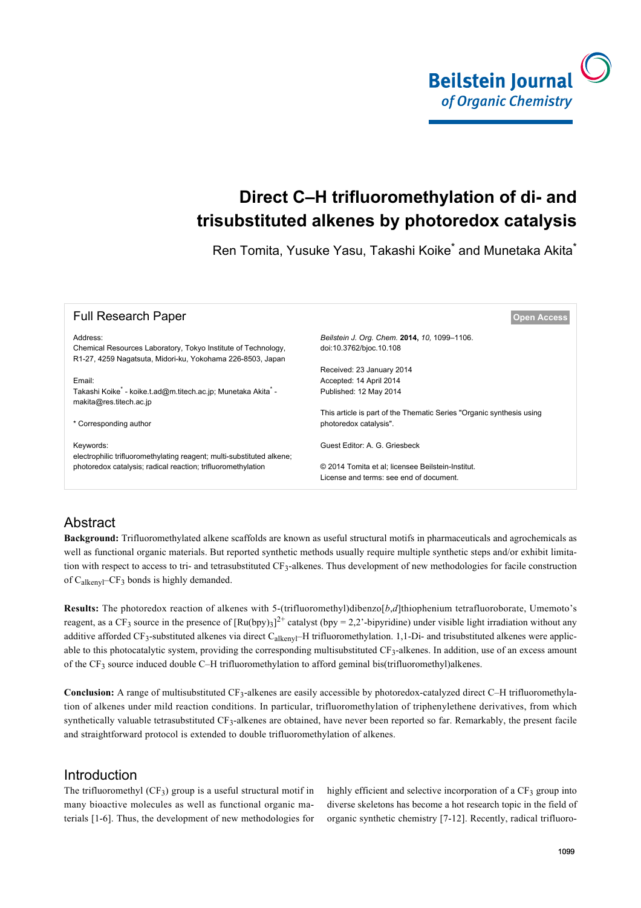

# **Direct C–H trifluoromethylation of di- and trisubstituted alkenes by photoredox catalysis**

Ren Tomita, Yusuke Yasu, Takashi Koike<sup>\*</sup> and Munetaka Akita<sup>\*</sup>

| <b>Full Research Paper</b>                                                                                                  | <b>Open Access</b>                                                   |
|-----------------------------------------------------------------------------------------------------------------------------|----------------------------------------------------------------------|
| Address:                                                                                                                    | Beilstein J. Org. Chem. 2014, 10, 1099-1106.                         |
| Chemical Resources Laboratory, Tokyo Institute of Technology,<br>R1-27, 4259 Nagatsuta, Midori-ku, Yokohama 226-8503, Japan | doi:10.3762/bjoc.10.108                                              |
|                                                                                                                             | Received: 23 January 2014                                            |
| Email:                                                                                                                      | Accepted: 14 April 2014                                              |
| Takashi Koike <sup>*</sup> - koike.t.ad@m.titech.ac.jp; Munetaka Akita <sup>*</sup> -<br>makita@res.titech.ac.jp            | Published: 12 May 2014                                               |
|                                                                                                                             | This article is part of the Thematic Series "Organic synthesis using |
| * Corresponding author                                                                                                      | photoredox catalysis".                                               |
| Keywords:<br>electrophilic trifluoromethylating reagent; multi-substituted alkene;                                          | Guest Editor: A. G. Griesbeck                                        |
| photoredox catalysis; radical reaction; trifluoromethylation                                                                | © 2014 Tomita et al; licensee Beilstein-Institut.                    |
|                                                                                                                             | License and terms: see end of document.                              |

# Abstract

**Background:** Trifluoromethylated alkene scaffolds are known as useful structural motifs in pharmaceuticals and agrochemicals as well as functional organic materials. But reported synthetic methods usually require multiple synthetic steps and/or exhibit limitation with respect to access to tri- and tetrasubstituted CF<sub>3</sub>-alkenes. Thus development of new methodologies for facile construction of  $C_{\text{alkenv}}$  –CF<sub>3</sub> bonds is highly demanded.

**Results:** The photoredox reaction of alkenes with 5-(trifluoromethyl)dibenzo[*b*,*d*]thiophenium tetrafluoroborate, Umemoto's reagent, as a CF<sub>3</sub> source in the presence of  $[Ru(bpy)_3]^2$ <sup>+</sup> catalyst (bpy = 2,2'-bipyridine) under visible light irradiation without any additive afforded CF<sub>3</sub>-substituted alkenes via direct C<sub>alkenyl</sub>–H trifluoromethylation. 1,1-Di- and trisubstituted alkenes were applicable to this photocatalytic system, providing the corresponding multisubstituted CF<sub>3</sub>-alkenes. In addition, use of an excess amount of the  $CF_3$  source induced double C–H trifluoromethylation to afford geminal bis(trifluoromethyl)alkenes.

Conclusion: A range of multisubstituted CF<sub>3</sub>-alkenes are easily accessible by photoredox-catalyzed direct C–H trifluoromethylation of alkenes under mild reaction conditions. In particular, trifluoromethylation of triphenylethene derivatives, from which synthetically valuable tetrasubstituted CF<sub>3</sub>-alkenes are obtained, have never been reported so far. Remarkably, the present facile and straightforward protocol is extended to double trifluoromethylation of alkenes.

# **Introduction**

The trifluoromethyl  $(CF_3)$  group is a useful structural motif in many bioactive molecules as well as functional organic materials [\[1-6\]](#page-5-0). Thus, the development of new methodologies for

highly efficient and selective incorporation of a CF<sub>3</sub> group into diverse skeletons has become a hot research topic in the field of organic synthetic chemistry [\[7-12\]](#page-6-0). Recently, radical trifluoro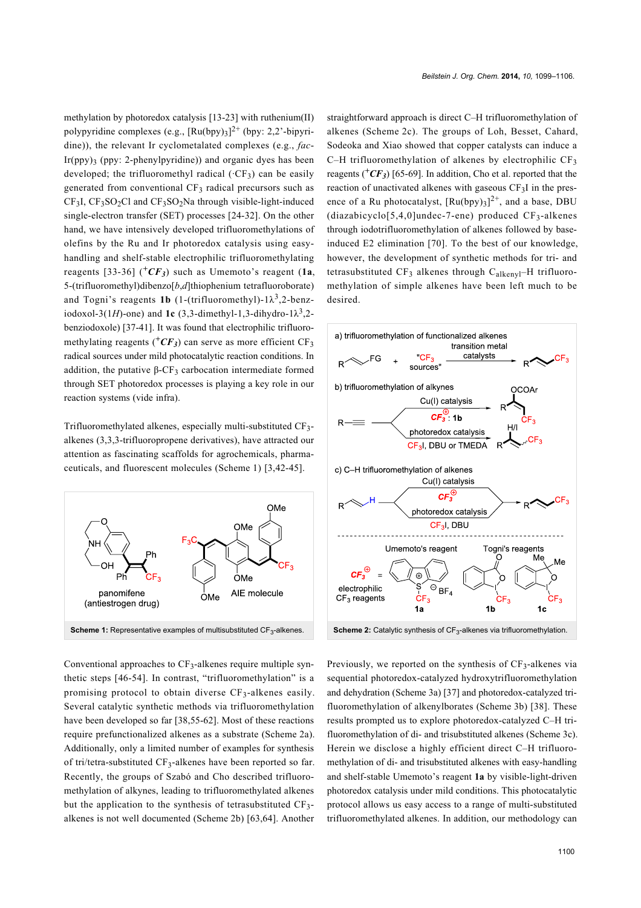methylation by photoredox catalysis [\[13-23\]](#page-6-1) with ruthenium(II) polypyridine complexes (e.g.,  $[Ru(bpy)_3]^2$ <sup>+</sup> (bpy: 2,2'-bipyridine)), the relevant Ir cyclometalated complexes (e.g., *fac*-Ir(ppy)<sub>3</sub> (ppy: 2-phenylpyridine)) and organic dyes has been developed; the trifluoromethyl radical  $({}^{\circ}CF_3)$  can be easily generated from conventional  $CF_3$  radical precursors such as  $CF<sub>3</sub>I$ ,  $CF<sub>3</sub>SO<sub>2</sub>Cl$  and  $CF<sub>3</sub>SO<sub>2</sub>Na$  through visible-light-induced single-electron transfer (SET) processes [\[24-32\]](#page-6-2). On the other hand, we have intensively developed trifluoromethylations of olefins by the Ru and Ir photoredox catalysis using easyhandling and shelf-stable electrophilic trifluoromethylating reagents [\[33-36\]](#page-6-3) ( $+CF_3$ ) such as Umemoto's reagent (1a, 5-(trifluoromethyl)dibenzo[*b*,*d*]thiophenium tetrafluoroborate) and Togni's reagents **1b** (1-(trifluoromethyl)- $1\lambda^3$ , 2-benziodoxol-3(1*H*)-one) and **1c** (3,3-dimethyl-1,3-dihydro-1 $\lambda^3$ ,2benziodoxole) [\[37-41\]](#page-6-4). It was found that electrophilic trifluoromethylating reagents  $(^+CF_3)$  can serve as more efficient CF<sub>3</sub> radical sources under mild photocatalytic reaction conditions. In addition, the putative  $β$ -CF<sub>3</sub> carbocation intermediate formed through SET photoredox processes is playing a key role in our reaction systems (vide infra).

Trifluoromethylated alkenes, especially multi-substituted CF3 alkenes (3,3,3-trifluoropropene derivatives), have attracted our attention as fascinating scaffolds for agrochemicals, pharmaceuticals, and fluorescent molecules ([Scheme 1](#page-1-0)) [\[3,42-45\].](#page-5-1)

<span id="page-1-0"></span>

Conventional approaches to CF<sub>3</sub>-alkenes require multiple synthetic steps [\[46-54\]](#page-6-5). In contrast, "trifluoromethylation" is a promising protocol to obtain diverse CF3-alkenes easily. Several catalytic synthetic methods via trifluoromethylation have been developed so far [\[38,55-62\]](#page-6-6). Most of these reactions require prefunctionalized alkenes as a substrate ([Scheme 2a\)](#page-1-1). Additionally, only a limited number of examples for synthesis of tri/tetra-substituted CF<sub>3</sub>-alkenes have been reported so far. Recently, the groups of Szabó and Cho described trifluoromethylation of alkynes, leading to trifluoromethylated alkenes but the application to the synthesis of tetrasubstituted CF<sub>3</sub>alkenes is not well documented ([Scheme 2b](#page-1-1)) [\[63,64\]](#page-7-0). Another

straightforward approach is direct C–H trifluoromethylation of alkenes ([Scheme 2c](#page-1-1)). The groups of Loh, Besset, Cahard, Sodeoka and Xiao showed that copper catalysts can induce a C–H trifluoromethylation of alkenes by electrophilic  $CF<sub>3</sub>$ reagents  $(^+CF_3)$  [\[65-69\].](#page-7-1) In addition, Cho et al. reported that the reaction of unactivated alkenes with gaseous  $CF<sub>3</sub>I$  in the presence of a Ru photocatalyst,  $[Ru(bpy)_3]^2$ <sup>+</sup>, and a base, DBU  $(diazabicyclo[5,4,0]undec-7-ene)$  produced  $CF<sub>3</sub>-alkenes$ through iodotrifluoromethylation of alkenes followed by baseinduced E2 elimination [\[70\]](#page-7-2). To the best of our knowledge, however, the development of synthetic methods for tri- and tetrasubstituted  $CF_3$  alkenes through  $C_{alkeny1}$ -H trifluoromethylation of simple alkenes have been left much to be desired.

<span id="page-1-1"></span>

Previously, we reported on the synthesis of  $CF_3$ -alkenes via sequential photoredox-catalyzed hydroxytrifluoromethylation and dehydration [\(Scheme 3a](#page-2-0)) [\[37\]](#page-6-4) and photoredox-catalyzed trifluoromethylation of alkenylborates [\(Scheme 3b](#page-2-0)) [\[38\]](#page-6-6). These results prompted us to explore photoredox-catalyzed C–H trifluoromethylation of di- and trisubstituted alkenes ([Scheme 3c](#page-2-0)). Herein we disclose a highly efficient direct C–H trifluoromethylation of di- and trisubstituted alkenes with easy-handling and shelf-stable Umemoto's reagent **1a** by visible-light-driven photoredox catalysis under mild conditions. This photocatalytic protocol allows us easy access to a range of multi-substituted trifluoromethylated alkenes. In addition, our methodology can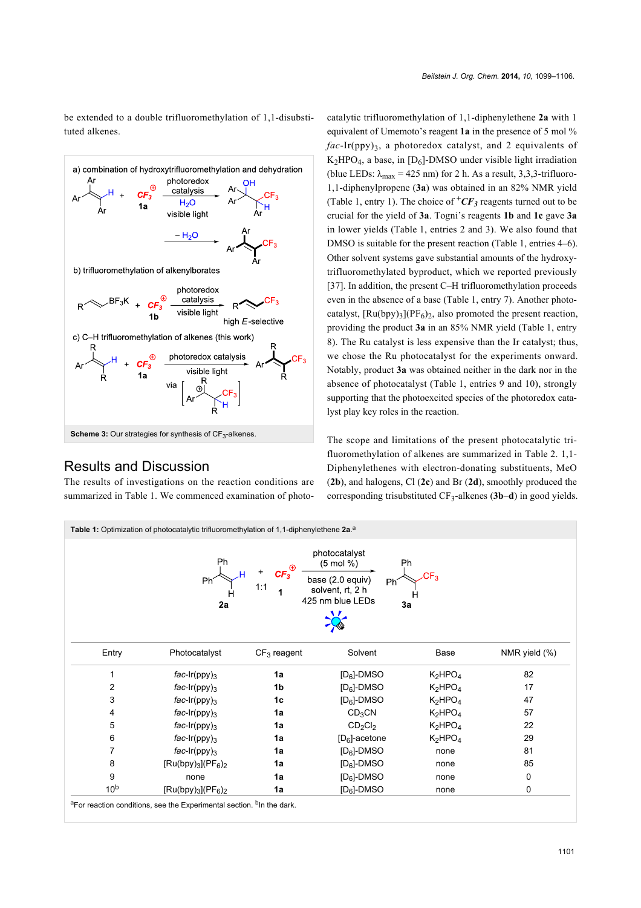be extended to a double trifluoromethylation of 1,1-disubstituted alkenes.

<span id="page-2-0"></span>

#### Results and Discussion

The results of investigations on the reaction conditions are summarized in [Table 1.](#page-2-1) We commenced examination of photo-

catalytic trifluoromethylation of 1,1-diphenylethene **2a** with 1 equivalent of Umemoto's reagent **1a** in the presence of 5 mol %  $fac-Ir(ppy)$ <sub>3</sub>, a photoredox catalyst, and 2 equivalents of  $K_2HPO_4$ , a base, in [D<sub>6</sub>]-DMSO under visible light irradiation (blue LEDs:  $\lambda_{\text{max}} = 425 \text{ nm}$ ) for 2 h. As a result, 3,3,3-trifluoro-1,1-diphenylpropene (**3a**) was obtained in an 82% NMR yield ([Table 1,](#page-2-1) entry 1). The choice of  ${}^+CF_3$  reagents turned out to be crucial for the yield of **3a**. Togni's reagents **1b** and **1c** gave **3a** in lower yields ([Table 1](#page-2-1), entries 2 and 3). We also found that DMSO is suitable for the present reaction [\(Table 1,](#page-2-1) entries 4–6). Other solvent systems gave substantial amounts of the hydroxytrifluoromethylated byproduct, which we reported previously [\[37\].](#page-6-4) In addition, the present C–H trifluoromethylation proceeds even in the absence of a base ([Table 1](#page-2-1), entry 7). Another photocatalyst,  $\left[\text{Ru(bpy)}_{3}\right](\text{PF}_6)_{2}$ , also promoted the present reaction, providing the product **3a** in an 85% NMR yield [\(Table 1,](#page-2-1) entry 8). The Ru catalyst is less expensive than the Ir catalyst; thus, we chose the Ru photocatalyst for the experiments onward. Notably, product **3a** was obtained neither in the dark nor in the absence of photocatalyst [\(Table 1](#page-2-1), entries 9 and 10), strongly supporting that the photoexcited species of the photoredox catalyst play key roles in the reaction.

The scope and limitations of the present photocatalytic trifluoromethylation of alkenes are summarized in [Table 2.](#page-3-0) 1,1- Diphenylethenes with electron-donating substituents, MeO (**2b**), and halogens, Cl (**2c**) and Br (**2d**), smoothly produced the corresponding trisubstituted CF3-alkenes (**3b**–**d**) in good yields.

<span id="page-2-1"></span>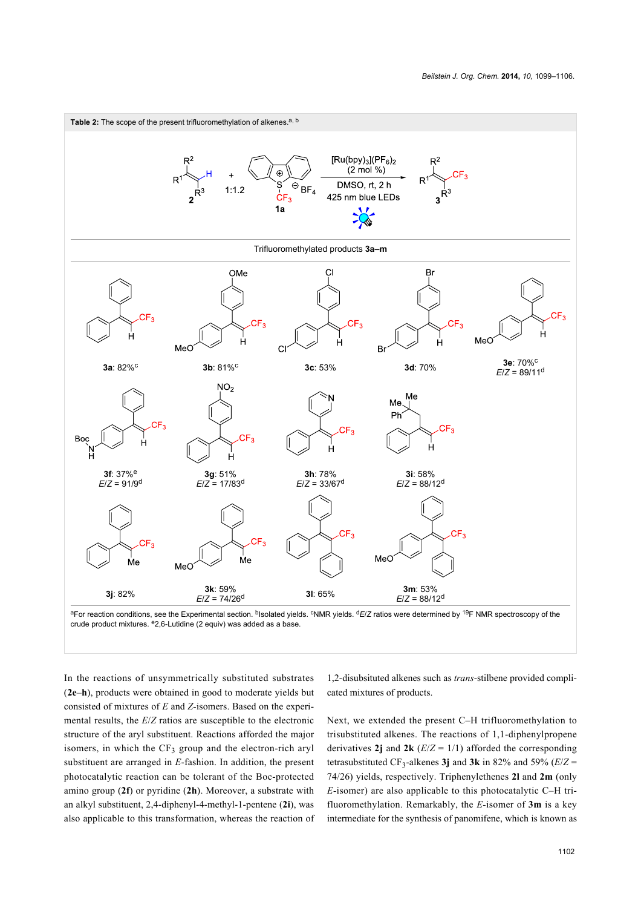<span id="page-3-0"></span>

In the reactions of unsymmetrically substituted substrates (**2e**–**h**), products were obtained in good to moderate yields but consisted of mixtures of *E* and *Z-*isomers. Based on the experimental results, the *E*/*Z* ratios are susceptible to the electronic structure of the aryl substituent. Reactions afforded the major isomers, in which the  $CF_3$  group and the electron-rich aryl substituent are arranged in *E*-fashion. In addition, the present photocatalytic reaction can be tolerant of the Boc-protected amino group (**2f**) or pyridine (**2h**). Moreover, a substrate with an alkyl substituent, 2,4-diphenyl-4-methyl-1-pentene (**2i**), was also applicable to this transformation, whereas the reaction of 1,2-disubsituted alkenes such as *trans*-stilbene provided complicated mixtures of products.

Next, we extended the present C–H trifluoromethylation to trisubstituted alkenes. The reactions of 1,1-diphenylpropene derivatives 2j and  $2k$  ( $E/Z = 1/1$ ) afforded the corresponding tetrasubstituted CF<sub>3</sub>-alkenes **3j** and **3k** in 82% and 59% ( $E/Z$  = 74/26) yields, respectively. Triphenylethenes **2l** and **2m** (only *E-*isomer) are also applicable to this photocatalytic C–H trifluoromethylation. Remarkably, the *E-*isomer of **3m** is a key intermediate for the synthesis of panomifene, which is known as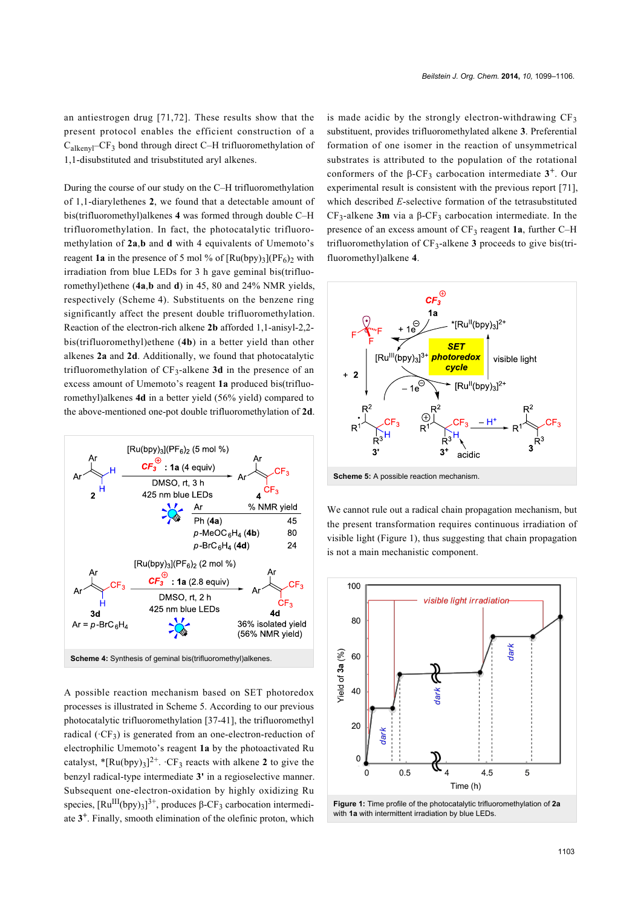an antiestrogen drug [\[71,72\]](#page-7-3). These results show that the present protocol enables the efficient construction of a  $C_{\text{alkenvl}}$ – $CF_3$  bond through direct C–H trifluoromethylation of 1,1-disubstituted and trisubstituted aryl alkenes.

During the course of our study on the C–H trifluoromethylation of 1,1-diarylethenes **2**, we found that a detectable amount of bis(trifluoromethyl)alkenes **4** was formed through double C–H trifluoromethylation. In fact, the photocatalytic trifluoromethylation of **2a**,**b** and **d** with 4 equivalents of Umemoto's reagent **1a** in the presence of 5 mol % of  $\lceil \text{Ru(bpy)}_3 \rceil$  $\text{PF}_6$ ) with irradiation from blue LEDs for 3 h gave geminal bis(trifluoromethyl)ethene (**4a**,**b** and **d**) in 45, 80 and 24% NMR yields, respectively ([Scheme 4](#page-4-0)). Substituents on the benzene ring significantly affect the present double trifluoromethylation. Reaction of the electron-rich alkene **2b** afforded 1,1-anisyl-2,2 bis(trifluoromethyl)ethene (**4b**) in a better yield than other alkenes **2a** and **2d**. Additionally, we found that photocatalytic trifluoromethylation of CF3-alkene **3d** in the presence of an excess amount of Umemoto's reagent **1a** produced bis(trifluoromethyl)alkenes **4d** in a better yield (56% yield) compared to the above-mentioned one-pot double trifluoromethylation of **2d**.

<span id="page-4-0"></span>

A possible reaction mechanism based on SET photoredox processes is illustrated in [Scheme 5.](#page-4-1) According to our previous photocatalytic trifluoromethylation [\[37-41\]](#page-6-4), the trifluoromethyl radical ( $CF_3$ ) is generated from an one-electron-reduction of electrophilic Umemoto's reagent **1a** by the photoactivated Ru catalyst,  $*$ [Ru(bpy)<sub>3</sub>]<sup>2+</sup>.  $\cdot$ CF<sub>3</sub> reacts with alkene **2** to give the benzyl radical-type intermediate **3'** in a regioselective manner. Subsequent one-electron-oxidation by highly oxidizing Ru species,  $\text{[Ru^{III}(bpy)_3]}^{3+}$ , produces β-CF<sub>3</sub> carbocation intermediate **3 +** . Finally, smooth elimination of the olefinic proton, which

is made acidic by the strongly electron-withdrawing  $CF<sub>3</sub>$ substituent, provides trifluoromethylated alkene **3**. Preferential formation of one isomer in the reaction of unsymmetrical substrates is attributed to the population of the rotational conformers of the  $β$ -CF<sub>3</sub> carbocation intermediate  $3^+$ . Our experimental result is consistent with the previous report [\[71\]](#page-7-3), which described *E*-selective formation of the tetrasubstituted CF<sub>3</sub>-alkene **3m** via a  $β$ -CF<sub>3</sub> carbocation intermediate. In the presence of an excess amount of CF<sub>3</sub> reagent **1a**, further C–H trifluoromethylation of  $CF_3$ -alkene **3** proceeds to give bis(trifluoromethyl)alkene **4**.

<span id="page-4-1"></span>

**Scheme 5:** A possible reaction mechanism.

We cannot rule out a radical chain propagation mechanism, but the present transformation requires continuous irradiation of visible light [\(Figure 1](#page-4-2)), thus suggesting that chain propagation is not a main mechanistic component.

<span id="page-4-2"></span>

**Figure 1:** Time profile of the photocatalytic trifluoromethylation of **2a** with **1a** with intermittent irradiation by blue LEDs.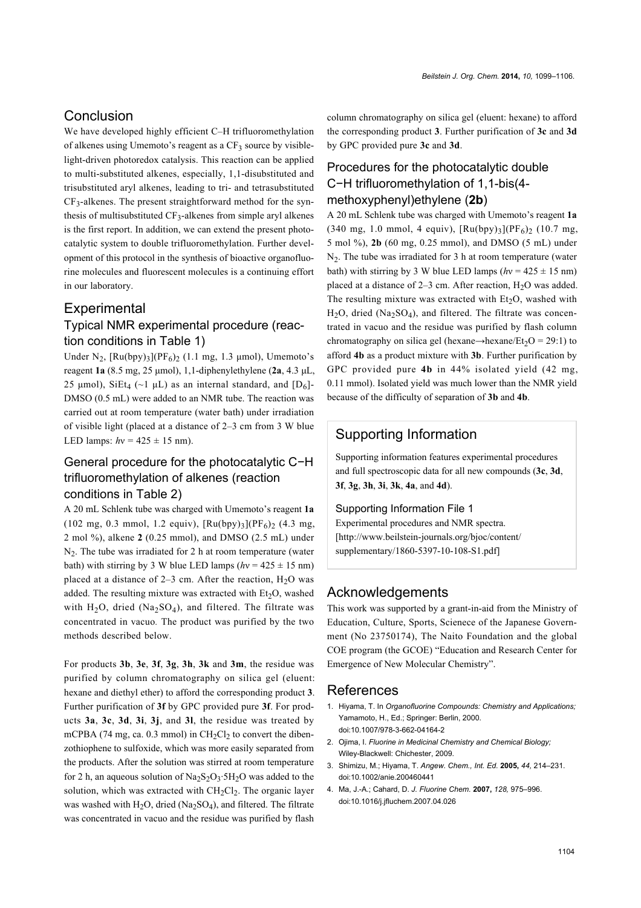#### Conclusion

We have developed highly efficient C–H trifluoromethylation of alkenes using Umemoto's reagent as a  $CF_3$  source by visiblelight-driven photoredox catalysis. This reaction can be applied to multi-substituted alkenes, especially, 1,1-disubstituted and trisubstituted aryl alkenes, leading to tri- and tetrasubstituted  $CF_3$ -alkenes. The present straightforward method for the synthesis of multisubstituted  $CF_3$ -alkenes from simple aryl alkenes is the first report. In addition, we can extend the present photocatalytic system to double trifluoromethylation. Further development of this protocol in the synthesis of bioactive organofluorine molecules and fluorescent molecules is a continuing effort in our laboratory.

#### **Experimental**

### Typical NMR experimental procedure (reaction conditions in [Table 1\)](#page-2-1)

Under  $N_2$ ,  $\lceil Ru(bpy)_3 \rceil (PF_6)_2$  (1.1 mg, 1.3 µmol), Umemoto's reagent **1a** (8.5 mg, 25 μmol), 1,1-diphenylethylene (**2a**, 4.3 μL, 25 μmol), SiEt<sub>4</sub> (~1 μL) as an internal standard, and  $[D_6]$ -DMSO (0.5 mL) were added to an NMR tube. The reaction was carried out at room temperature (water bath) under irradiation of visible light (placed at a distance of 2–3 cm from 3 W blue LED lamps:  $hv = 425 \pm 15$  nm).

#### General procedure for the photocatalytic C−H trifluoromethylation of alkenes (reaction conditions in [Table 2\)](#page-3-0)

A 20 mL Schlenk tube was charged with Umemoto's reagent **1a**  $(102 \text{ mg}, 0.3 \text{ mmol}, 1.2 \text{ equiv})$ ,  $\text{Ru(bpy)}_3\text{]}(\text{PF}_6)$ <sub>2</sub> (4.3 mg, 2 mol %), alkene **2** (0.25 mmol), and DMSO (2.5 mL) under  $N<sub>2</sub>$ . The tube was irradiated for 2 h at room temperature (water bath) with stirring by 3 W blue LED lamps  $(hv = 425 \pm 15 \text{ nm})$ placed at a distance of  $2-3$  cm. After the reaction,  $H_2O$  was added. The resulting mixture was extracted with  $Et<sub>2</sub>O$ , washed with  $H_2O$ , dried (Na<sub>2</sub>SO<sub>4</sub>), and filtered. The filtrate was concentrated in vacuo*.* The product was purified by the two methods described below.

For products **3b**, **3e**, **3f**, **3g**, **3h**, **3k** and **3m**, the residue was purified by column chromatography on silica gel (eluent: hexane and diethyl ether) to afford the corresponding product **3**. Further purification of **3f** by GPC provided pure **3f**. For products **3a**, **3c**, **3d**, **3i**, **3j**, and **3l**, the residue was treated by mCPBA  $(74 \text{ mg}, \text{ca}, 0.3 \text{ mmol})$  in  $CH_2Cl_2$  to convert the dibenzothiophene to sulfoxide, which was more easily separated from the products. After the solution was stirred at room temperature for 2 h, an aqueous solution of  $Na<sub>2</sub>S<sub>2</sub>O<sub>3</sub>·5H<sub>2</sub>O$  was added to the solution, which was extracted with  $CH_2Cl_2$ . The organic layer was washed with  $H_2O$ , dried (Na<sub>2</sub>SO<sub>4</sub>), and filtered. The filtrate was concentrated in vacuo and the residue was purified by flash

column chromatography on silica gel (eluent: hexane) to afford the corresponding product **3**. Further purification of **3c** and **3d** by GPC provided pure **3c** and **3d**.

# Procedures for the photocatalytic double C−H trifluoromethylation of 1,1-bis(4 methoxyphenyl)ethylene (**2b**)

A 20 mL Schlenk tube was charged with Umemoto's reagent **1a** (340 mg, 1.0 mmol, 4 equiv),  $[Ru(bpy)_{3}] (PF_6)_2$  (10.7 mg, 5 mol %), **2b** (60 mg, 0.25 mmol), and DMSO (5 mL) under  $N<sub>2</sub>$ . The tube was irradiated for 3 h at room temperature (water bath) with stirring by 3 W blue LED lamps  $(hv = 425 \pm 15 \text{ nm})$ placed at a distance of  $2-3$  cm. After reaction,  $H<sub>2</sub>O$  was added. The resulting mixture was extracted with  $Et<sub>2</sub>O$ , washed with  $H<sub>2</sub>O$ , dried (Na<sub>2</sub>SO<sub>4</sub>), and filtered. The filtrate was concentrated in vacuo and the residue was purified by flash column chromatography on silica gel (hexane→hexane/Et<sub>2</sub>O = 29:1) to afford **4b** as a product mixture with **3b**. Further purification by GPC provided pure **4b** in 44% isolated yield (42 mg, 0.11 mmol). Isolated yield was much lower than the NMR yield because of the difficulty of separation of **3b** and **4b**.

### Supporting Information

Supporting information features experimental procedures and full spectroscopic data for all new compounds (**3c**, **3d**, **3f**, **3g**, **3h**, **3i**, **3k**, **4a**, and **4d**).

#### Supporting Information File 1

Experimental procedures and NMR spectra. [\[http://www.beilstein-journals.org/bjoc/content/](http://www.beilstein-journals.org/bjoc/content/supplementary/1860-5397-10-108-S1.pdf) [supplementary/1860-5397-10-108-S1.pdf\]](http://www.beilstein-journals.org/bjoc/content/supplementary/1860-5397-10-108-S1.pdf)

#### Acknowledgements

This work was supported by a grant-in-aid from the Ministry of Education, Culture, Sports, Scienece of the Japanese Government (No 23750174), The Naito Foundation and the global COE program (the GCOE) "Education and Research Center for Emergence of New Molecular Chemistry".

#### References

- <span id="page-5-0"></span>1. Hiyama, T. In *Organofluorine Compounds: Chemistry and Applications;* Yamamoto, H., Ed.; Springer: Berlin, 2000. [doi:10.1007/978-3-662-04164-2](http://dx.doi.org/10.1007%2F978-3-662-04164-2)
- 2. Ojima, I. *Fluorine in Medicinal Chemistry and Chemical Biology;* Wiley-Blackwell: Chichester, 2009.
- <span id="page-5-1"></span>3. Shimizu, M.; Hiyama, T. *Angew. Chem., Int. Ed.* **2005,** *44,* 214–231. [doi:10.1002/anie.200460441](http://dx.doi.org/10.1002%2Fanie.200460441)
- 4. Ma, J.-A.; Cahard, D. *J. Fluorine Chem.* **2007,** *128,* 975–996. [doi:10.1016/j.jfluchem.2007.04.026](http://dx.doi.org/10.1016%2Fj.jfluchem.2007.04.026)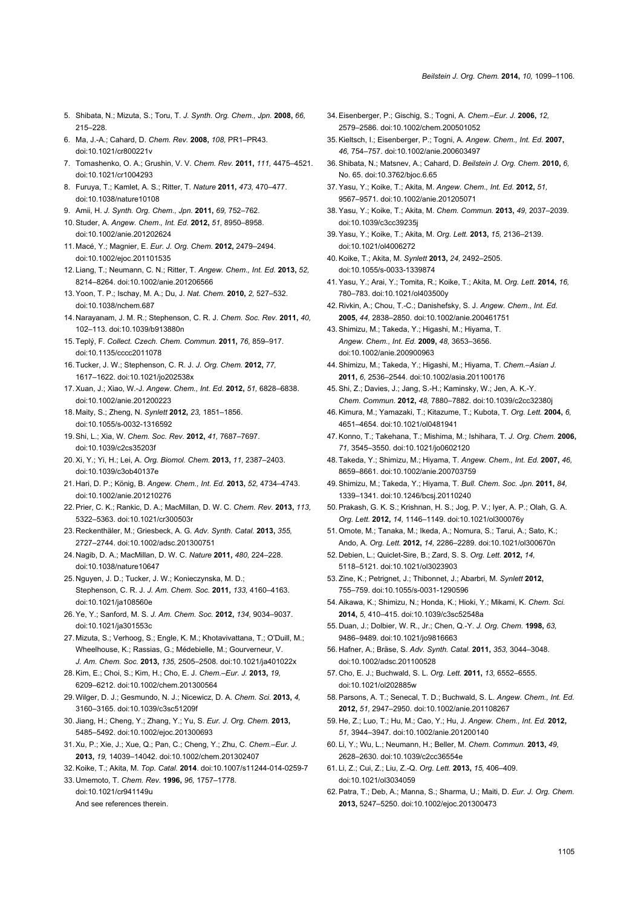- 5. Shibata, N.; Mizuta, S.; Toru, T. *J. Synth. Org. Chem., Jpn.* **2008,** *66,* 215–228.
- 6. Ma, J.-A.; Cahard, D. *Chem. Rev.* **2008,** *108,* PR1–PR43. [doi:10.1021/cr800221v](http://dx.doi.org/10.1021%2Fcr800221v)
- <span id="page-6-0"></span>7. Tomashenko, O. A.; Grushin, V. V. *Chem. Rev.* **2011,** *111,* 4475–4521. [doi:10.1021/cr1004293](http://dx.doi.org/10.1021%2Fcr1004293)
- 8. Furuya, T.; Kamlet, A. S.; Ritter, T. *Nature* **2011,** *473,* 470–477. [doi:10.1038/nature10108](http://dx.doi.org/10.1038%2Fnature10108)
- 9. Amii, H. *J. Synth. Org. Chem., Jpn.* **2011,** *69,* 752–762.
- 10.Studer, A. *Angew. Chem., Int. Ed.* **2012,** *51,* 8950–8958. [doi:10.1002/anie.201202624](http://dx.doi.org/10.1002%2Fanie.201202624)
- 11. Macé, Y.; Magnier, E. *Eur. J. Org. Chem.* **2012,** 2479–2494. [doi:10.1002/ejoc.201101535](http://dx.doi.org/10.1002%2Fejoc.201101535)
- 12. Liang, T.; Neumann, C. N.; Ritter, T. *Angew. Chem., Int. Ed.* **2013,** *52,* 8214–8264. [doi:10.1002/anie.201206566](http://dx.doi.org/10.1002%2Fanie.201206566)
- <span id="page-6-1"></span>13.Yoon, T. P.; Ischay, M. A.; Du, J. *Nat. Chem.* **2010,** *2,* 527–532. [doi:10.1038/nchem.687](http://dx.doi.org/10.1038%2Fnchem.687)
- 14. Narayanam, J. M. R.; Stephenson, C. R. J. *Chem. Soc. Rev.* **2011,** *40,* 102–113. [doi:10.1039/b913880n](http://dx.doi.org/10.1039%2Fb913880n)
- 15.Teplý, F. *Collect. Czech. Chem. Commun.* **2011,** *76,* 859–917. [doi:10.1135/cccc2011078](http://dx.doi.org/10.1135%2Fcccc2011078)
- 16.Tucker, J. W.; Stephenson, C. R. J. *J. Org. Chem.* **2012,** *77,* 1617–1622. [doi:10.1021/jo202538x](http://dx.doi.org/10.1021%2Fjo202538x)
- 17.Xuan, J.; Xiao, W.-J. *Angew. Chem., Int. Ed.* **2012,** *51,* 6828–6838. [doi:10.1002/anie.201200223](http://dx.doi.org/10.1002%2Fanie.201200223)
- 18. Maity, S.; Zheng, N. *Synlett* **2012,** *23,* 1851–1856. [doi:10.1055/s-0032-1316592](http://dx.doi.org/10.1055%2Fs-0032-1316592)
- 19.Shi, L.; Xia, W. *Chem. Soc. Rev.* **2012,** *41,* 7687–7697. [doi:10.1039/c2cs35203f](http://dx.doi.org/10.1039%2Fc2cs35203f)
- 20.Xi, Y.; Yi, H.; Lei, A. *Org. Biomol. Chem.* **2013,** *11,* 2387–2403. [doi:10.1039/c3ob40137e](http://dx.doi.org/10.1039%2Fc3ob40137e)
- 21. Hari, D. P.; König, B. *Angew. Chem., Int. Ed.* **2013,** *52,* 4734–4743. [doi:10.1002/anie.201210276](http://dx.doi.org/10.1002%2Fanie.201210276)
- 22.Prier, C. K.; Rankic, D. A.; MacMillan, D. W. C. *Chem. Rev.* **2013,** *113,* 5322–5363. [doi:10.1021/cr300503r](http://dx.doi.org/10.1021%2Fcr300503r)
- 23. Reckenthäler, M.; Griesbeck, A. G. *Adv. Synth. Catal.* **2013,** *355,* 2727–2744. [doi:10.1002/adsc.201300751](http://dx.doi.org/10.1002%2Fadsc.201300751)
- <span id="page-6-2"></span>24. Nagib, D. A.; MacMillan, D. W. C. *Nature* **2011,** *480,* 224–228. [doi:10.1038/nature10647](http://dx.doi.org/10.1038%2Fnature10647)
- 25. Nguyen, J. D.; Tucker, J. W.; Konieczynska, M. D.; Stephenson, C. R. J. *J. Am. Chem. Soc.* **2011,** *133,* 4160–4163. [doi:10.1021/ja108560e](http://dx.doi.org/10.1021%2Fja108560e)
- 26.Ye, Y.; Sanford, M. S. *J. Am. Chem. Soc.* **2012,** *134,* 9034–9037. [doi:10.1021/ja301553c](http://dx.doi.org/10.1021%2Fja301553c)
- 27. Mizuta, S.; Verhoog, S.; Engle, K. M.; Khotavivattana, T.; O'Duill, M.; Wheelhouse, K.; Rassias, G.; Médebielle, M.; Gourverneur, V. *J. Am. Chem. Soc.* **2013,** *135,* 2505–2508. [doi:10.1021/ja401022x](http://dx.doi.org/10.1021%2Fja401022x)
- 28.Kim, E.; Choi, S.; Kim, H.; Cho, E. J. *Chem.–Eur. J.* **2013,** *19,* 6209–6212. [doi:10.1002/chem.201300564](http://dx.doi.org/10.1002%2Fchem.201300564)
- 29.Wilger, D. J.; Gesmundo, N. J.; Nicewicz, D. A. *Chem. Sci.* **2013,** *4,* 3160–3165. [doi:10.1039/c3sc51209f](http://dx.doi.org/10.1039%2Fc3sc51209f)
- 30. Jiang, H.; Cheng, Y.; Zhang, Y.; Yu, S. *Eur. J. Org. Chem.* **2013,** 5485–5492. [doi:10.1002/ejoc.201300693](http://dx.doi.org/10.1002%2Fejoc.201300693)
- 31.Xu, P.; Xie, J.; Xue, Q.; Pan, C.; Cheng, Y.; Zhu, C. *Chem.–Eur. J.* **2013,** *19,* 14039–14042. [doi:10.1002/chem.201302407](http://dx.doi.org/10.1002%2Fchem.201302407)
- 32.Koike, T.; Akita, M. *Top. Catal.* **2014**. [doi:10.1007/s11244-014-0259-7](http://dx.doi.org/10.1007%2Fs11244-014-0259-7)
- <span id="page-6-3"></span>33. Umemoto, T. *Chem. Rev.* **1996,** *96,* 1757–1778. [doi:10.1021/cr941149u](http://dx.doi.org/10.1021%2Fcr941149u)
	- And see references therein.
- 34.Eisenberger, P.; Gischig, S.; Togni, A. *Chem.–Eur. J.* **2006,** *12,* 2579–2586. [doi:10.1002/chem.200501052](http://dx.doi.org/10.1002%2Fchem.200501052)
- 35.Kieltsch, I.; Eisenberger, P.; Togni, A. *Angew. Chem., Int. Ed.* **2007,** *46,* 754–757. [doi:10.1002/anie.200603497](http://dx.doi.org/10.1002%2Fanie.200603497)
- 36.Shibata, N.; Matsnev, A.; Cahard, D. *Beilstein J. Org. Chem.* **2010,** *6,* No. 65. [doi:10.3762/bjoc.6.65](http://dx.doi.org/10.3762%2Fbjoc.6.65)
- <span id="page-6-4"></span>37.Yasu, Y.; Koike, T.; Akita, M. *Angew. Chem., Int. Ed.* **2012,** *51,* 9567–9571. [doi:10.1002/anie.201205071](http://dx.doi.org/10.1002%2Fanie.201205071)
- <span id="page-6-6"></span>38.Yasu, Y.; Koike, T.; Akita, M. *Chem. Commun.* **2013,** *49,* 2037–2039. [doi:10.1039/c3cc39235j](http://dx.doi.org/10.1039%2Fc3cc39235j)
- 39.Yasu, Y.; Koike, T.; Akita, M. *Org. Lett.* **2013,** *15,* 2136–2139. [doi:10.1021/ol4006272](http://dx.doi.org/10.1021%2Fol4006272)
- 40.Koike, T.; Akita, M. *Synlett* **2013,** *24,* 2492–2505. [doi:10.1055/s-0033-1339874](http://dx.doi.org/10.1055%2Fs-0033-1339874)
- 41.Yasu, Y.; Arai, Y.; Tomita, R.; Koike, T.; Akita, M. *Org. Lett.* **2014,** *16,* 780–783. [doi:10.1021/ol403500y](http://dx.doi.org/10.1021%2Fol403500y)
- 42. Rivkin, A.; Chou, T.-C.; Danishefsky, S. J. *Angew. Chem., Int. Ed.* **2005,** *44,* 2838–2850. [doi:10.1002/anie.200461751](http://dx.doi.org/10.1002%2Fanie.200461751)
- 43.Shimizu, M.; Takeda, Y.; Higashi, M.; Hiyama, T. *Angew. Chem., Int. Ed.* **2009,** *48,* 3653–3656. [doi:10.1002/anie.200900963](http://dx.doi.org/10.1002%2Fanie.200900963)
- 44.Shimizu, M.; Takeda, Y.; Higashi, M.; Hiyama, T. *Chem.–Asian J.* **2011,** *6,* 2536–2544. [doi:10.1002/asia.201100176](http://dx.doi.org/10.1002%2Fasia.201100176)
- 45.Shi, Z.; Davies, J.; Jang, S.-H.; Kaminsky, W.; Jen, A. K.-Y. *Chem. Commun.* **2012,** *48,* 7880–7882. [doi:10.1039/c2cc32380j](http://dx.doi.org/10.1039%2Fc2cc32380j)
- <span id="page-6-5"></span>46.Kimura, M.; Yamazaki, T.; Kitazume, T.; Kubota, T. *Org. Lett.* **2004,** *6,* 4651–4654. [doi:10.1021/ol0481941](http://dx.doi.org/10.1021%2Fol0481941)
- 47.Konno, T.; Takehana, T.; Mishima, M.; Ishihara, T. *J. Org. Chem.* **2006,** *71,* 3545–3550. [doi:10.1021/jo0602120](http://dx.doi.org/10.1021%2Fjo0602120)
- 48.Takeda, Y.; Shimizu, M.; Hiyama, T. *Angew. Chem., Int. Ed.* **2007,** *46,* 8659–8661. [doi:10.1002/anie.200703759](http://dx.doi.org/10.1002%2Fanie.200703759)
- 49.Shimizu, M.; Takeda, Y.; Hiyama, T. *Bull. Chem. Soc. Jpn.* **2011,** *84,* 1339–1341. [doi:10.1246/bcsj.20110240](http://dx.doi.org/10.1246%2Fbcsj.20110240)
- 50.Prakash, G. K. S.; Krishnan, H. S.; Jog, P. V.; Iyer, A. P.; Olah, G. A. *Org. Lett.* **2012,** *14,* 1146–1149. [doi:10.1021/ol300076y](http://dx.doi.org/10.1021%2Fol300076y)
- 51.Omote, M.; Tanaka, M.; Ikeda, A.; Nomura, S.; Tarui, A.; Sato, K.; Ando, A. *Org. Lett.* **2012,** *14,* 2286–2289. [doi:10.1021/ol300670n](http://dx.doi.org/10.1021%2Fol300670n)
- 52. Debien, L.; Quiclet-Sire, B.; Zard, S. S. *Org. Lett.* **2012,** *14,* 5118–5121. [doi:10.1021/ol3023903](http://dx.doi.org/10.1021%2Fol3023903)
- 53.Zine, K.; Petrignet, J.; Thibonnet, J.; Abarbri, M. *Synlett* **2012,** 755–759. [doi:10.1055/s-0031-1290596](http://dx.doi.org/10.1055%2Fs-0031-1290596)
- 54.Aikawa, K.; Shimizu, N.; Honda, K.; Hioki, Y.; Mikami, K. *Chem. Sci.* **2014,** *5,* 410–415. [doi:10.1039/c3sc52548a](http://dx.doi.org/10.1039%2Fc3sc52548a)
- 55. Duan, J.; Dolbier, W. R., Jr.; Chen, Q.-Y. *J. Org. Chem.* **1998,** *63,* 9486–9489. [doi:10.1021/jo9816663](http://dx.doi.org/10.1021%2Fjo9816663)
- 56. Hafner, A.; Bräse, S. *Adv. Synth. Catal.* **2011,** *353,* 3044–3048. [doi:10.1002/adsc.201100528](http://dx.doi.org/10.1002%2Fadsc.201100528)
- 57. Cho, E. J.; Buchwald, S. L. *Org. Lett.* **2011,** *13,* 6552–6555. [doi:10.1021/ol202885w](http://dx.doi.org/10.1021%2Fol202885w)
- 58.Parsons, A. T.; Senecal, T. D.; Buchwald, S. L. *Angew. Chem., Int. Ed.* **2012,** *51,* 2947–2950. [doi:10.1002/anie.201108267](http://dx.doi.org/10.1002%2Fanie.201108267)
- 59. He, Z.; Luo, T.; Hu, M.; Cao, Y.; Hu, J. *Angew. Chem., Int. Ed.* **2012,** *51,* 3944–3947. [doi:10.1002/anie.201200140](http://dx.doi.org/10.1002%2Fanie.201200140)
- 60. Li, Y.; Wu, L.; Neumann, H.; Beller, M. *Chem. Commun.* **2013,** *49,* 2628–2630. [doi:10.1039/c2cc36554e](http://dx.doi.org/10.1039%2Fc2cc36554e)
- 61. Li, Z.; Cui, Z.; Liu, Z.-Q. *Org. Lett.* **2013,** *15,* 406–409. [doi:10.1021/ol3034059](http://dx.doi.org/10.1021%2Fol3034059)
- 62.Patra, T.; Deb, A.; Manna, S.; Sharma, U.; Maiti, D. *Eur. J. Org. Chem.* **2013,** 5247–5250. [doi:10.1002/ejoc.201300473](http://dx.doi.org/10.1002%2Fejoc.201300473)